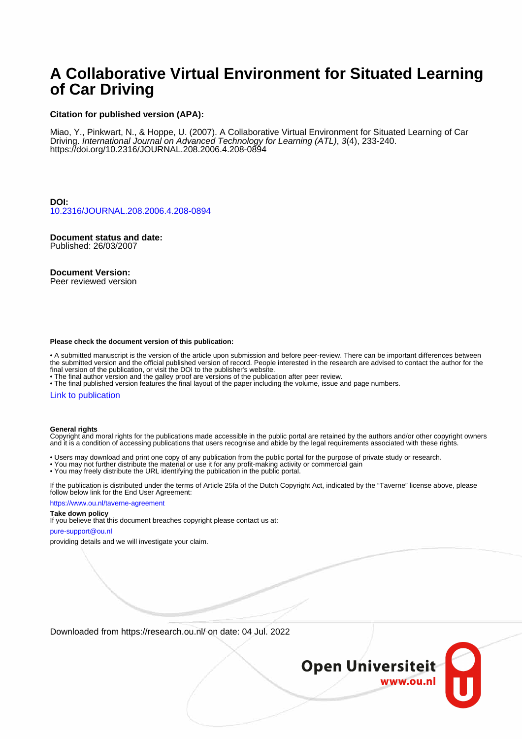# **A Collaborative Virtual Environment for Situated Learning of Car Driving**

### **Citation for published version (APA):**

Miao, Y., Pinkwart, N., & Hoppe, U. (2007). A Collaborative Virtual Environment for Situated Learning of Car Driving. International Journal on Advanced Technology for Learning (ATL), 3(4), 233-240. <https://doi.org/10.2316/JOURNAL.208.2006.4.208-0894>

**DOI:** [10.2316/JOURNAL.208.2006.4.208-0894](https://doi.org/10.2316/JOURNAL.208.2006.4.208-0894)

**Document status and date:** Published: 26/03/2007

**Document Version:**

Peer reviewed version

#### **Please check the document version of this publication:**

• A submitted manuscript is the version of the article upon submission and before peer-review. There can be important differences between the submitted version and the official published version of record. People interested in the research are advised to contact the author for the final version of the publication, or visit the DOI to the publisher's website.

• The final author version and the galley proof are versions of the publication after peer review.

• The final published version features the final layout of the paper including the volume, issue and page numbers.

### [Link to publication](https://research.ou.nl/en/publications/abad15dd-ca4a-41e8-8cd7-c2f990338a76)

### **General rights**

Copyright and moral rights for the publications made accessible in the public portal are retained by the authors and/or other copyright owners and it is a condition of accessing publications that users recognise and abide by the legal requirements associated with these rights.

- Users may download and print one copy of any publication from the public portal for the purpose of private study or research.
- You may not further distribute the material or use it for any profit-making activity or commercial gain
- You may freely distribute the URL identifying the publication in the public portal.

If the publication is distributed under the terms of Article 25fa of the Dutch Copyright Act, indicated by the "Taverne" license above, please follow below link for the End User Agreement:

### https://www.ou.nl/taverne-agreement

# **Take down policy**

If you believe that this document breaches copyright please contact us at:

#### pure-support@ou.nl

providing details and we will investigate your claim.

Downloaded from https://research.ou.nl/ on date: 04 Jul. 2022

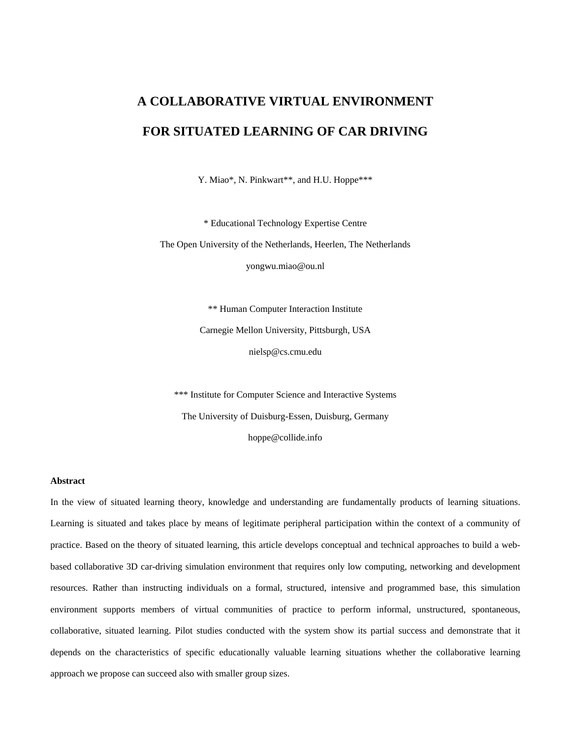# **A COLLABORATIVE VIRTUAL ENVIRONMENT FOR SITUATED LEARNING OF CAR DRIVING**

Y. Miao\*, N. Pinkwart\*\*, and H.U. Hoppe\*\*\*

\* Educational Technology Expertise Centre

The Open University of the Netherlands, Heerlen, The Netherlands yongwu.miao@ou.nl

> \*\* Human Computer Interaction Institute Carnegie Mellon University, Pittsburgh, USA nielsp@cs.cmu.edu

\*\*\* Institute for Computer Science and Interactive Systems The University of Duisburg-Essen, Duisburg, Germany hoppe@collide.info

### **Abstract**

In the view of situated learning theory, knowledge and understanding are fundamentally products of learning situations. Learning is situated and takes place by means of legitimate peripheral participation within the context of a community of practice. Based on the theory of situated learning, this article develops conceptual and technical approaches to build a webbased collaborative 3D car-driving simulation environment that requires only low computing, networking and development resources. Rather than instructing individuals on a formal, structured, intensive and programmed base, this simulation environment supports members of virtual communities of practice to perform informal, unstructured, spontaneous, collaborative, situated learning. Pilot studies conducted with the system show its partial success and demonstrate that it depends on the characteristics of specific educationally valuable learning situations whether the collaborative learning approach we propose can succeed also with smaller group sizes.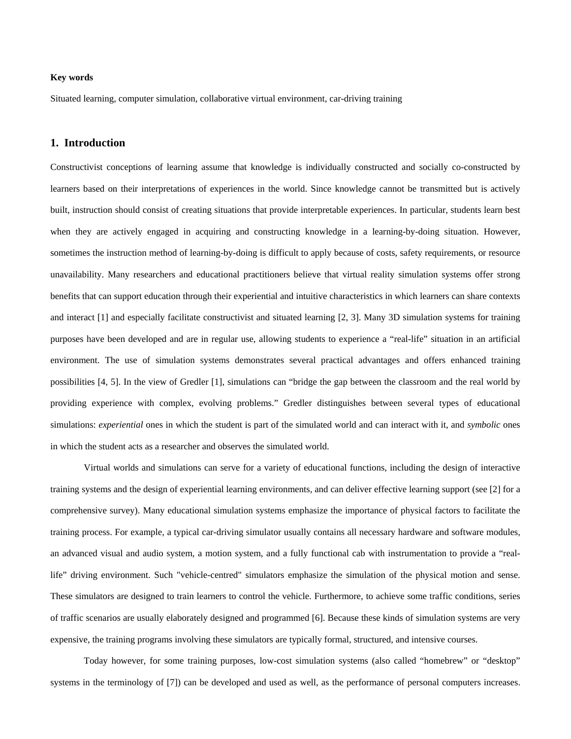# **Key words**

Situated learning, computer simulation, collaborative virtual environment, car-driving training

# **1. Introduction**

Constructivist conceptions of learning assume that knowledge is individually constructed and socially co-constructed by learners based on their interpretations of experiences in the world. Since knowledge cannot be transmitted but is actively built, instruction should consist of creating situations that provide interpretable experiences. In particular, students learn best when they are actively engaged in acquiring and constructing knowledge in a learning-by-doing situation. However, sometimes the instruction method of learning-by-doing is difficult to apply because of costs, safety requirements, or resource unavailability. Many researchers and educational practitioners believe that virtual reality simulation systems offer strong benefits that can support education through their experiential and intuitive characteristics in which learners can share contexts and interact [1] and especially facilitate constructivist and situated learning [2, 3]. Many 3D simulation systems for training purposes have been developed and are in regular use, allowing students to experience a "real-life" situation in an artificial environment. The use of simulation systems demonstrates several practical advantages and offers enhanced training possibilities [4, 5]. In the view of Gredler [1], simulations can "bridge the gap between the classroom and the real world by providing experience with complex, evolving problems." Gredler distinguishes between several types of educational simulations: *experiential* ones in which the student is part of the simulated world and can interact with it, and *symbolic* ones in which the student acts as a researcher and observes the simulated world.

Virtual worlds and simulations can serve for a variety of educational functions, including the design of interactive training systems and the design of experiential learning environments, and can deliver effective learning support (see [2] for a comprehensive survey). Many educational simulation systems emphasize the importance of physical factors to facilitate the training process. For example, a typical car-driving simulator usually contains all necessary hardware and software modules, an advanced visual and audio system, a motion system, and a fully functional cab with instrumentation to provide a "reallife" driving environment. Such "vehicle-centred" simulators emphasize the simulation of the physical motion and sense. These simulators are designed to train learners to control the vehicle. Furthermore, to achieve some traffic conditions, series of traffic scenarios are usually elaborately designed and programmed [6]. Because these kinds of simulation systems are very expensive, the training programs involving these simulators are typically formal, structured, and intensive courses.

Today however, for some training purposes, low-cost simulation systems (also called "homebrew" or "desktop" systems in the terminology of [7]) can be developed and used as well, as the performance of personal computers increases.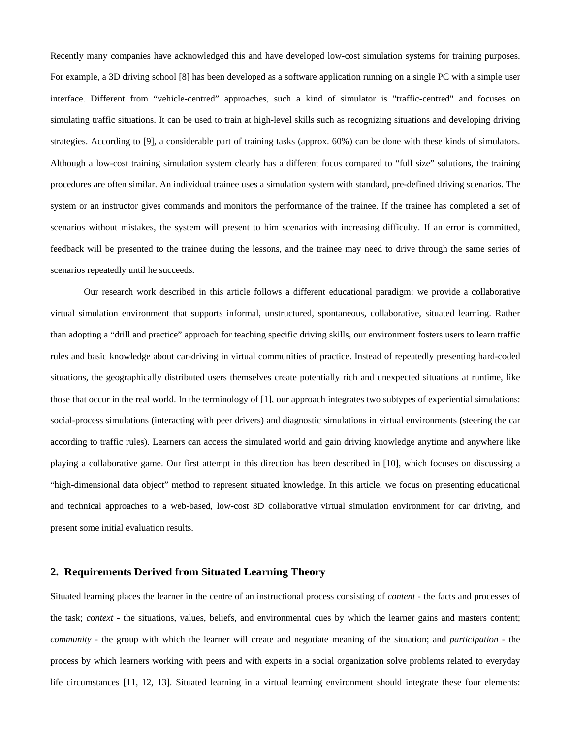Recently many companies have acknowledged this and have developed low-cost simulation systems for training purposes. For example, a 3D driving school [8] has been developed as a software application running on a single PC with a simple user interface. Different from "vehicle-centred" approaches, such a kind of simulator is "traffic-centred" and focuses on simulating traffic situations. It can be used to train at high-level skills such as recognizing situations and developing driving strategies. According to [9], a considerable part of training tasks (approx. 60%) can be done with these kinds of simulators. Although a low-cost training simulation system clearly has a different focus compared to "full size" solutions, the training procedures are often similar. An individual trainee uses a simulation system with standard, pre-defined driving scenarios. The system or an instructor gives commands and monitors the performance of the trainee. If the trainee has completed a set of scenarios without mistakes, the system will present to him scenarios with increasing difficulty. If an error is committed, feedback will be presented to the trainee during the lessons, and the trainee may need to drive through the same series of scenarios repeatedly until he succeeds.

Our research work described in this article follows a different educational paradigm: we provide a collaborative virtual simulation environment that supports informal, unstructured, spontaneous, collaborative, situated learning. Rather than adopting a "drill and practice" approach for teaching specific driving skills, our environment fosters users to learn traffic rules and basic knowledge about car-driving in virtual communities of practice. Instead of repeatedly presenting hard-coded situations, the geographically distributed users themselves create potentially rich and unexpected situations at runtime, like those that occur in the real world. In the terminology of [1], our approach integrates two subtypes of experiential simulations: social-process simulations (interacting with peer drivers) and diagnostic simulations in virtual environments (steering the car according to traffic rules). Learners can access the simulated world and gain driving knowledge anytime and anywhere like playing a collaborative game. Our first attempt in this direction has been described in [10], which focuses on discussing a "high-dimensional data object" method to represent situated knowledge. In this article, we focus on presenting educational and technical approaches to a web-based, low-cost 3D collaborative virtual simulation environment for car driving, and present some initial evaluation results.

### **2. Requirements Derived from Situated Learning Theory**

Situated learning places the learner in the centre of an instructional process consisting of *content* - the facts and processes of the task; *context* - the situations, values, beliefs, and environmental cues by which the learner gains and masters content; *community* - the group with which the learner will create and negotiate meaning of the situation; and *participation* - the process by which learners working with peers and with experts in a social organization solve problems related to everyday life circumstances [11, 12, 13]. Situated learning in a virtual learning environment should integrate these four elements: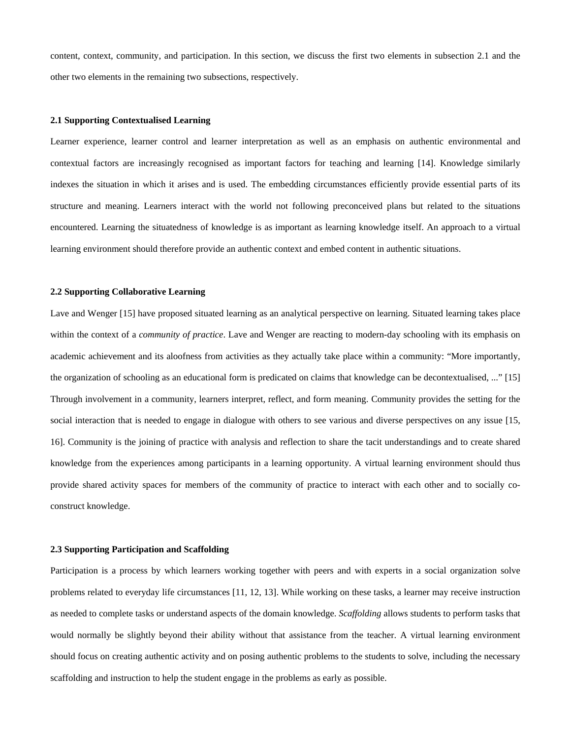content, context, community, and participation. In this section, we discuss the first two elements in subsection 2.1 and the other two elements in the remaining two subsections, respectively.

### **2.1 Supporting Contextualised Learning**

Learner experience, learner control and learner interpretation as well as an emphasis on authentic environmental and contextual factors are increasingly recognised as important factors for teaching and learning [14]. Knowledge similarly indexes the situation in which it arises and is used. The embedding circumstances efficiently provide essential parts of its structure and meaning. Learners interact with the world not following preconceived plans but related to the situations encountered. Learning the situatedness of knowledge is as important as learning knowledge itself. An approach to a virtual learning environment should therefore provide an authentic context and embed content in authentic situations.

### **2.2 Supporting Collaborative Learning**

Lave and Wenger [15] have proposed situated learning as an analytical perspective on learning. Situated learning takes place within the context of a *community of practice*. Lave and Wenger are reacting to modern-day schooling with its emphasis on academic achievement and its aloofness from activities as they actually take place within a community: "More importantly, the organization of schooling as an educational form is predicated on claims that knowledge can be decontextualised, ..." [15] Through involvement in a community, learners interpret, reflect, and form meaning. Community provides the setting for the social interaction that is needed to engage in dialogue with others to see various and diverse perspectives on any issue [15, 16]. Community is the joining of practice with analysis and reflection to share the tacit understandings and to create shared knowledge from the experiences among participants in a learning opportunity. A virtual learning environment should thus provide shared activity spaces for members of the community of practice to interact with each other and to socially coconstruct knowledge.

### **2.3 Supporting Participation and Scaffolding**

Participation is a process by which learners working together with peers and with experts in a social organization solve problems related to everyday life circumstances [11, 12, 13]. While working on these tasks, a learner may receive instruction as needed to complete tasks or understand aspects of the domain knowledge. *Scaffolding* allows students to perform tasks that would normally be slightly beyond their ability without that assistance from the teacher. A virtual learning environment should focus on creating authentic activity and on posing authentic problems to the students to solve, including the necessary scaffolding and instruction to help the student engage in the problems as early as possible.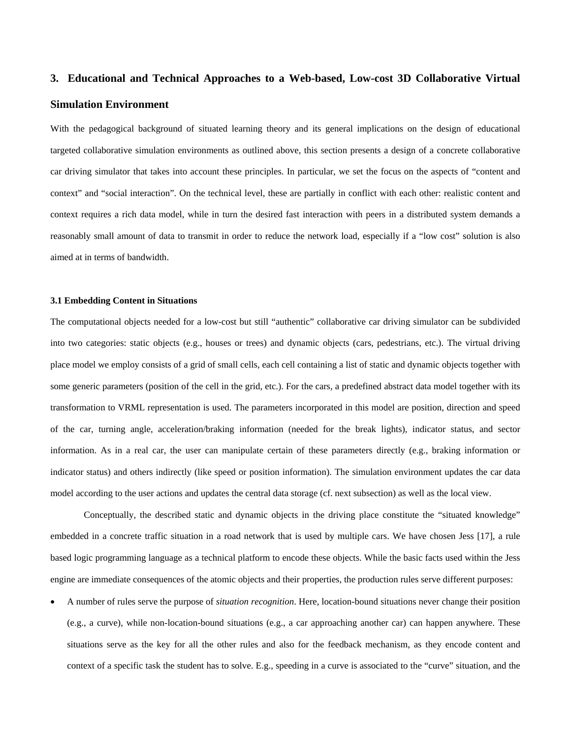# **3. Educational and Technical Approaches to a Web-based, Low-cost 3D Collaborative Virtual Simulation Environment**

With the pedagogical background of situated learning theory and its general implications on the design of educational targeted collaborative simulation environments as outlined above, this section presents a design of a concrete collaborative car driving simulator that takes into account these principles. In particular, we set the focus on the aspects of "content and context" and "social interaction". On the technical level, these are partially in conflict with each other: realistic content and context requires a rich data model, while in turn the desired fast interaction with peers in a distributed system demands a reasonably small amount of data to transmit in order to reduce the network load, especially if a "low cost" solution is also aimed at in terms of bandwidth.

### **3.1 Embedding Content in Situations**

The computational objects needed for a low-cost but still "authentic" collaborative car driving simulator can be subdivided into two categories: static objects (e.g., houses or trees) and dynamic objects (cars, pedestrians, etc.). The virtual driving place model we employ consists of a grid of small cells, each cell containing a list of static and dynamic objects together with some generic parameters (position of the cell in the grid, etc.). For the cars, a predefined abstract data model together with its transformation to VRML representation is used. The parameters incorporated in this model are position, direction and speed of the car, turning angle, acceleration/braking information (needed for the break lights), indicator status, and sector information. As in a real car, the user can manipulate certain of these parameters directly (e.g., braking information or indicator status) and others indirectly (like speed or position information). The simulation environment updates the car data model according to the user actions and updates the central data storage (cf. next subsection) as well as the local view.

Conceptually, the described static and dynamic objects in the driving place constitute the "situated knowledge" embedded in a concrete traffic situation in a road network that is used by multiple cars. We have chosen Jess [17], a rule based logic programming language as a technical platform to encode these objects. While the basic facts used within the Jess engine are immediate consequences of the atomic objects and their properties, the production rules serve different purposes:

• A number of rules serve the purpose of *situation recognition*. Here, location-bound situations never change their position (e.g., a curve), while non-location-bound situations (e.g., a car approaching another car) can happen anywhere. These situations serve as the key for all the other rules and also for the feedback mechanism, as they encode content and context of a specific task the student has to solve. E.g., speeding in a curve is associated to the "curve" situation, and the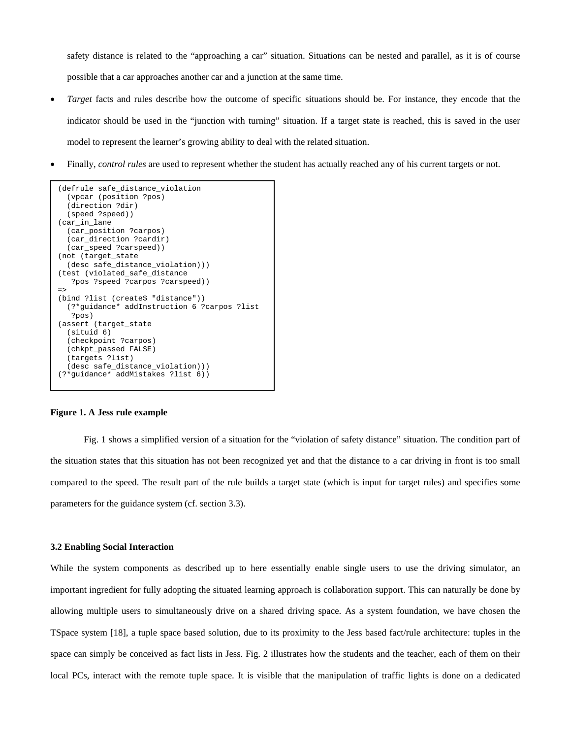safety distance is related to the "approaching a car" situation. Situations can be nested and parallel, as it is of course possible that a car approaches another car and a junction at the same time.

- *Target* facts and rules describe how the outcome of specific situations should be. For instance, they encode that the indicator should be used in the "junction with turning" situation. If a target state is reached, this is saved in the user model to represent the learner's growing ability to deal with the related situation.
- Finally, *control rules* are used to represent whether the student has actually reached any of his current targets or not.

```
(defrule safe_distance_violation 
   (vpcar (position ?pos) 
   (direction ?dir) 
   (speed ?speed)) 
(car_in_lane 
   (car_position ?carpos) 
   (car_direction ?cardir) 
   (car_speed ?carspeed)) 
(not (target_state 
   (desc safe_distance_violation))) 
(test (violated_safe_distance 
    ?pos ?speed ?carpos ?carspeed)) 
\Rightarrow(bind ?list (create$ "distance")) 
   (?*guidance* addInstruction 6 ?carpos ?list 
    ?pos) 
(assert (target_state 
   (situid 6) 
   (checkpoint ?carpos) 
   (chkpt_passed FALSE) 
   (targets ?list) 
   (desc safe_distance_violation))) 
(?*guidance* addMistakes ?list 6))
```
### **Figure 1. A Jess rule example**

Fig. 1 shows a simplified version of a situation for the "violation of safety distance" situation. The condition part of the situation states that this situation has not been recognized yet and that the distance to a car driving in front is too small compared to the speed. The result part of the rule builds a target state (which is input for target rules) and specifies some parameters for the guidance system (cf. section 3.3).

### **3.2 Enabling Social Interaction**

While the system components as described up to here essentially enable single users to use the driving simulator, an important ingredient for fully adopting the situated learning approach is collaboration support. This can naturally be done by allowing multiple users to simultaneously drive on a shared driving space. As a system foundation, we have chosen the TSpace system [18], a tuple space based solution, due to its proximity to the Jess based fact/rule architecture: tuples in the space can simply be conceived as fact lists in Jess. Fig. 2 illustrates how the students and the teacher, each of them on their local PCs, interact with the remote tuple space. It is visible that the manipulation of traffic lights is done on a dedicated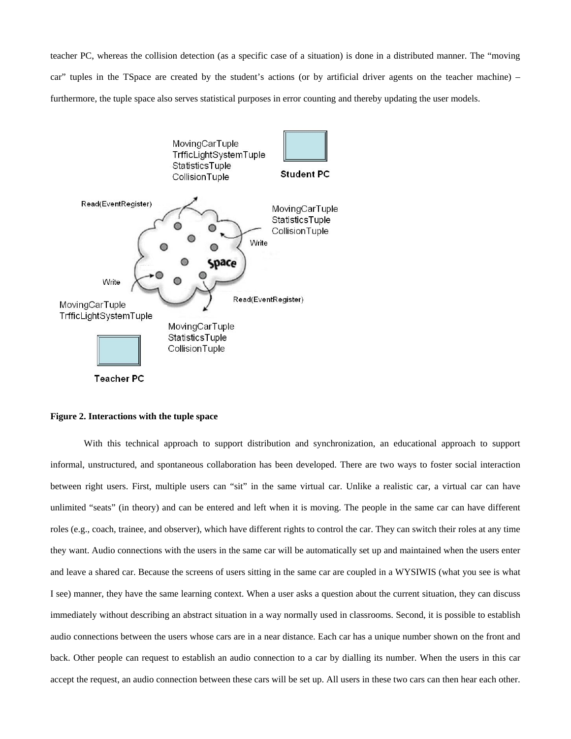teacher PC, whereas the collision detection (as a specific case of a situation) is done in a distributed manner. The "moving car" tuples in the TSpace are created by the student's actions (or by artificial driver agents on the teacher machine) – furthermore, the tuple space also serves statistical purposes in error counting and thereby updating the user models.



### **Figure 2. Interactions with the tuple space**

 With this technical approach to support distribution and synchronization, an educational approach to support informal, unstructured, and spontaneous collaboration has been developed. There are two ways to foster social interaction between right users. First, multiple users can "sit" in the same virtual car. Unlike a realistic car, a virtual car can have unlimited "seats" (in theory) and can be entered and left when it is moving. The people in the same car can have different roles (e.g., coach, trainee, and observer), which have different rights to control the car. They can switch their roles at any time they want. Audio connections with the users in the same car will be automatically set up and maintained when the users enter and leave a shared car. Because the screens of users sitting in the same car are coupled in a WYSIWIS (what you see is what I see) manner, they have the same learning context. When a user asks a question about the current situation, they can discuss immediately without describing an abstract situation in a way normally used in classrooms. Second, it is possible to establish audio connections between the users whose cars are in a near distance. Each car has a unique number shown on the front and back. Other people can request to establish an audio connection to a car by dialling its number. When the users in this car accept the request, an audio connection between these cars will be set up. All users in these two cars can then hear each other.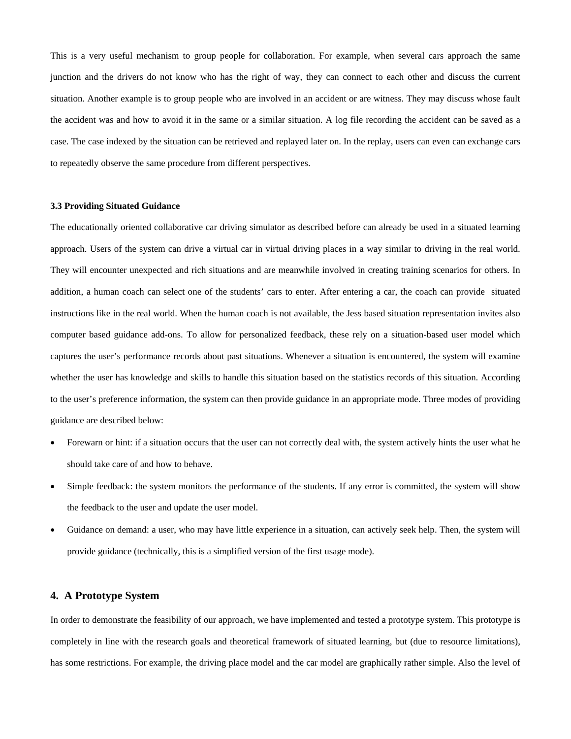This is a very useful mechanism to group people for collaboration. For example, when several cars approach the same junction and the drivers do not know who has the right of way, they can connect to each other and discuss the current situation. Another example is to group people who are involved in an accident or are witness. They may discuss whose fault the accident was and how to avoid it in the same or a similar situation. A log file recording the accident can be saved as a case. The case indexed by the situation can be retrieved and replayed later on. In the replay, users can even can exchange cars to repeatedly observe the same procedure from different perspectives.

### **3.3 Providing Situated Guidance**

The educationally oriented collaborative car driving simulator as described before can already be used in a situated learning approach. Users of the system can drive a virtual car in virtual driving places in a way similar to driving in the real world. They will encounter unexpected and rich situations and are meanwhile involved in creating training scenarios for others. In addition, a human coach can select one of the students' cars to enter. After entering a car, the coach can provide situated instructions like in the real world. When the human coach is not available, the Jess based situation representation invites also computer based guidance add-ons. To allow for personalized feedback, these rely on a situation-based user model which captures the user's performance records about past situations. Whenever a situation is encountered, the system will examine whether the user has knowledge and skills to handle this situation based on the statistics records of this situation. According to the user's preference information, the system can then provide guidance in an appropriate mode. Three modes of providing guidance are described below:

- Forewarn or hint: if a situation occurs that the user can not correctly deal with, the system actively hints the user what he should take care of and how to behave.
- Simple feedback: the system monitors the performance of the students. If any error is committed, the system will show the feedback to the user and update the user model.
- Guidance on demand: a user, who may have little experience in a situation, can actively seek help. Then, the system will provide guidance (technically, this is a simplified version of the first usage mode).

# **4. A Prototype System**

In order to demonstrate the feasibility of our approach, we have implemented and tested a prototype system. This prototype is completely in line with the research goals and theoretical framework of situated learning, but (due to resource limitations), has some restrictions. For example, the driving place model and the car model are graphically rather simple. Also the level of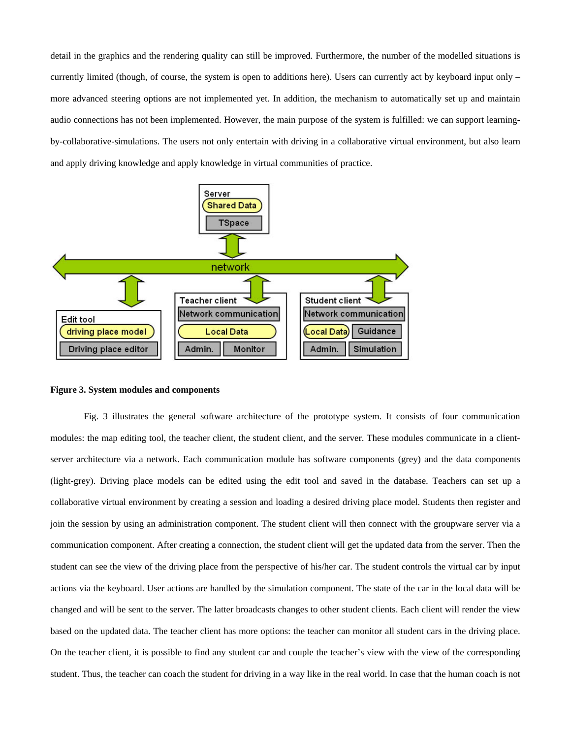detail in the graphics and the rendering quality can still be improved. Furthermore, the number of the modelled situations is currently limited (though, of course, the system is open to additions here). Users can currently act by keyboard input only – more advanced steering options are not implemented yet. In addition, the mechanism to automatically set up and maintain audio connections has not been implemented. However, the main purpose of the system is fulfilled: we can support learningby-collaborative-simulations. The users not only entertain with driving in a collaborative virtual environment, but also learn and apply driving knowledge and apply knowledge in virtual communities of practice.



### **Figure 3. System modules and components**

 Fig. 3 illustrates the general software architecture of the prototype system. It consists of four communication modules: the map editing tool, the teacher client, the student client, and the server. These modules communicate in a clientserver architecture via a network. Each communication module has software components (grey) and the data components (light-grey). Driving place models can be edited using the edit tool and saved in the database. Teachers can set up a collaborative virtual environment by creating a session and loading a desired driving place model. Students then register and join the session by using an administration component. The student client will then connect with the groupware server via a communication component. After creating a connection, the student client will get the updated data from the server. Then the student can see the view of the driving place from the perspective of his/her car. The student controls the virtual car by input actions via the keyboard. User actions are handled by the simulation component. The state of the car in the local data will be changed and will be sent to the server. The latter broadcasts changes to other student clients. Each client will render the view based on the updated data. The teacher client has more options: the teacher can monitor all student cars in the driving place. On the teacher client, it is possible to find any student car and couple the teacher's view with the view of the corresponding student. Thus, the teacher can coach the student for driving in a way like in the real world. In case that the human coach is not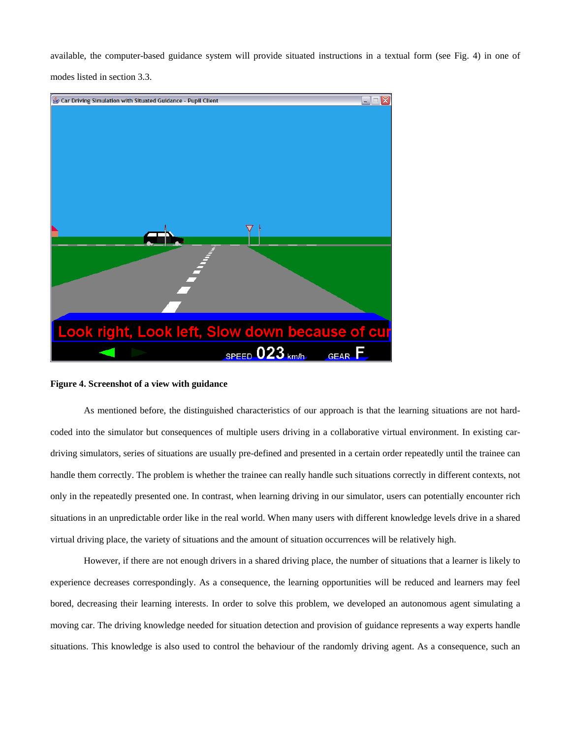available, the computer-based guidance system will provide situated instructions in a textual form (see Fig. 4) in one of modes listed in section 3.3.



### **Figure 4. Screenshot of a view with guidance**

 As mentioned before, the distinguished characteristics of our approach is that the learning situations are not hardcoded into the simulator but consequences of multiple users driving in a collaborative virtual environment. In existing cardriving simulators, series of situations are usually pre-defined and presented in a certain order repeatedly until the trainee can handle them correctly. The problem is whether the trainee can really handle such situations correctly in different contexts, not only in the repeatedly presented one. In contrast, when learning driving in our simulator, users can potentially encounter rich situations in an unpredictable order like in the real world. When many users with different knowledge levels drive in a shared virtual driving place, the variety of situations and the amount of situation occurrences will be relatively high.

 However, if there are not enough drivers in a shared driving place, the number of situations that a learner is likely to experience decreases correspondingly. As a consequence, the learning opportunities will be reduced and learners may feel bored, decreasing their learning interests. In order to solve this problem, we developed an autonomous agent simulating a moving car. The driving knowledge needed for situation detection and provision of guidance represents a way experts handle situations. This knowledge is also used to control the behaviour of the randomly driving agent. As a consequence, such an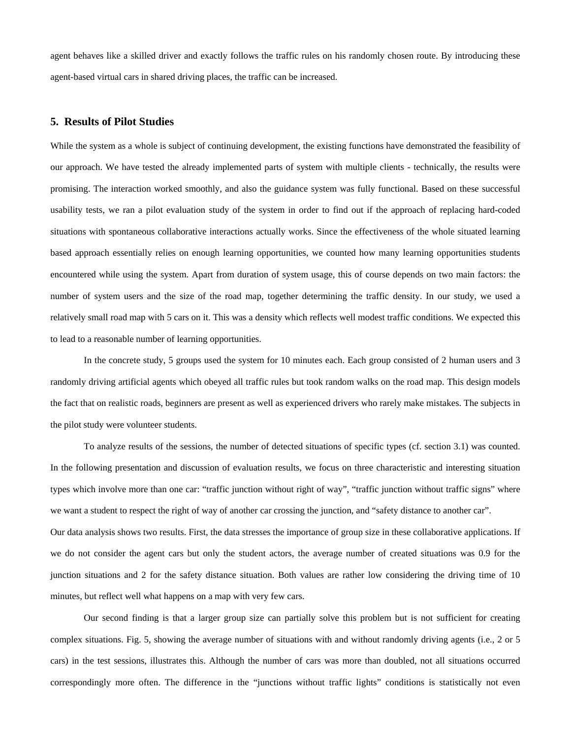agent behaves like a skilled driver and exactly follows the traffic rules on his randomly chosen route. By introducing these agent-based virtual cars in shared driving places, the traffic can be increased.

### **5. Results of Pilot Studies**

While the system as a whole is subject of continuing development, the existing functions have demonstrated the feasibility of our approach. We have tested the already implemented parts of system with multiple clients - technically, the results were promising. The interaction worked smoothly, and also the guidance system was fully functional. Based on these successful usability tests, we ran a pilot evaluation study of the system in order to find out if the approach of replacing hard-coded situations with spontaneous collaborative interactions actually works. Since the effectiveness of the whole situated learning based approach essentially relies on enough learning opportunities, we counted how many learning opportunities students encountered while using the system. Apart from duration of system usage, this of course depends on two main factors: the number of system users and the size of the road map, together determining the traffic density. In our study, we used a relatively small road map with 5 cars on it. This was a density which reflects well modest traffic conditions. We expected this to lead to a reasonable number of learning opportunities.

 In the concrete study, 5 groups used the system for 10 minutes each. Each group consisted of 2 human users and 3 randomly driving artificial agents which obeyed all traffic rules but took random walks on the road map. This design models the fact that on realistic roads, beginners are present as well as experienced drivers who rarely make mistakes. The subjects in the pilot study were volunteer students.

 To analyze results of the sessions, the number of detected situations of specific types (cf. section 3.1) was counted. In the following presentation and discussion of evaluation results, we focus on three characteristic and interesting situation types which involve more than one car: "traffic junction without right of way", "traffic junction without traffic signs" where we want a student to respect the right of way of another car crossing the junction, and "safety distance to another car". Our data analysis shows two results. First, the data stresses the importance of group size in these collaborative applications. If we do not consider the agent cars but only the student actors, the average number of created situations was 0.9 for the junction situations and 2 for the safety distance situation. Both values are rather low considering the driving time of 10 minutes, but reflect well what happens on a map with very few cars.

 Our second finding is that a larger group size can partially solve this problem but is not sufficient for creating complex situations. Fig. 5, showing the average number of situations with and without randomly driving agents (i.e., 2 or 5 cars) in the test sessions, illustrates this. Although the number of cars was more than doubled, not all situations occurred correspondingly more often. The difference in the "junctions without traffic lights" conditions is statistically not even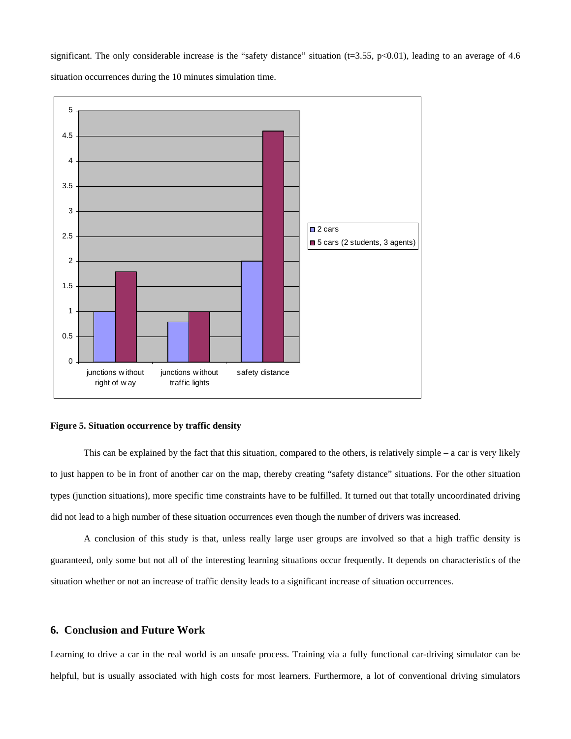significant. The only considerable increase is the "safety distance" situation (t=3.55, p<0.01), leading to an average of 4.6 situation occurrences during the 10 minutes simulation time.



### **Figure 5. Situation occurrence by traffic density**

 This can be explained by the fact that this situation, compared to the others, is relatively simple – a car is very likely to just happen to be in front of another car on the map, thereby creating "safety distance" situations. For the other situation types (junction situations), more specific time constraints have to be fulfilled. It turned out that totally uncoordinated driving did not lead to a high number of these situation occurrences even though the number of drivers was increased.

 A conclusion of this study is that, unless really large user groups are involved so that a high traffic density is guaranteed, only some but not all of the interesting learning situations occur frequently. It depends on characteristics of the situation whether or not an increase of traffic density leads to a significant increase of situation occurrences.

## **6. Conclusion and Future Work**

Learning to drive a car in the real world is an unsafe process. Training via a fully functional car-driving simulator can be helpful, but is usually associated with high costs for most learners. Furthermore, a lot of conventional driving simulators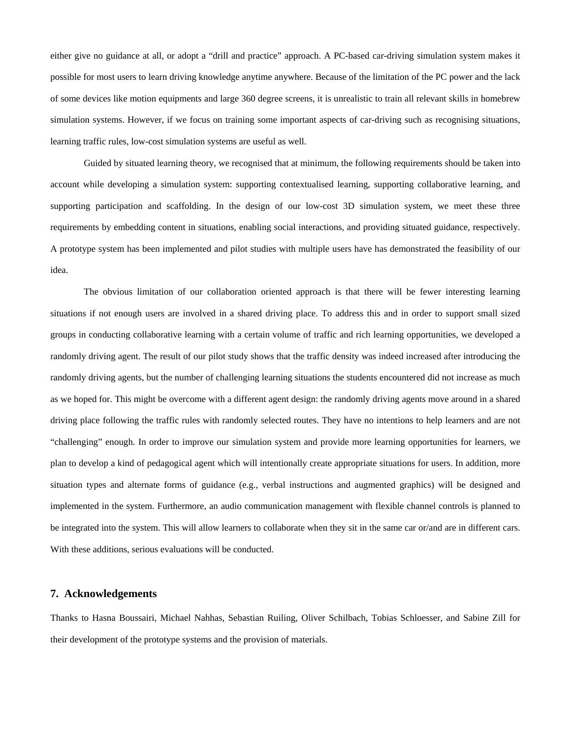either give no guidance at all, or adopt a "drill and practice" approach. A PC-based car-driving simulation system makes it possible for most users to learn driving knowledge anytime anywhere. Because of the limitation of the PC power and the lack of some devices like motion equipments and large 360 degree screens, it is unrealistic to train all relevant skills in homebrew simulation systems. However, if we focus on training some important aspects of car-driving such as recognising situations, learning traffic rules, low-cost simulation systems are useful as well.

 Guided by situated learning theory, we recognised that at minimum, the following requirements should be taken into account while developing a simulation system: supporting contextualised learning, supporting collaborative learning, and supporting participation and scaffolding. In the design of our low-cost 3D simulation system, we meet these three requirements by embedding content in situations, enabling social interactions, and providing situated guidance, respectively. A prototype system has been implemented and pilot studies with multiple users have has demonstrated the feasibility of our idea.

 The obvious limitation of our collaboration oriented approach is that there will be fewer interesting learning situations if not enough users are involved in a shared driving place. To address this and in order to support small sized groups in conducting collaborative learning with a certain volume of traffic and rich learning opportunities, we developed a randomly driving agent. The result of our pilot study shows that the traffic density was indeed increased after introducing the randomly driving agents, but the number of challenging learning situations the students encountered did not increase as much as we hoped for. This might be overcome with a different agent design: the randomly driving agents move around in a shared driving place following the traffic rules with randomly selected routes. They have no intentions to help learners and are not "challenging" enough. In order to improve our simulation system and provide more learning opportunities for learners, we plan to develop a kind of pedagogical agent which will intentionally create appropriate situations for users. In addition, more situation types and alternate forms of guidance (e.g., verbal instructions and augmented graphics) will be designed and implemented in the system. Furthermore, an audio communication management with flexible channel controls is planned to be integrated into the system. This will allow learners to collaborate when they sit in the same car or/and are in different cars. With these additions, serious evaluations will be conducted.

### **7. Acknowledgements**

Thanks to Hasna Boussairi, Michael Nahhas, Sebastian Ruiling, Oliver Schilbach, Tobias Schloesser, and Sabine Zill for their development of the prototype systems and the provision of materials.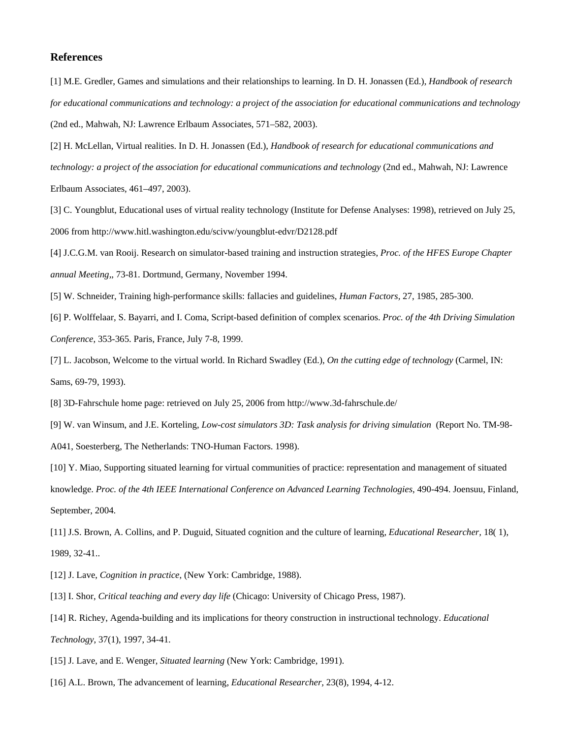### **References**

[1] M.E. Gredler, Games and simulations and their relationships to learning. In D. H. Jonassen (Ed.), *Handbook of research for educational communications and technology: a project of the association for educational communications and technology* (2nd ed., Mahwah, NJ: Lawrence Erlbaum Associates, 571–582, 2003).

[2] H. McLellan, Virtual realities. In D. H. Jonassen (Ed.), *Handbook of research for educational communications and technology: a project of the association for educational communications and technology* (2nd ed., Mahwah, NJ: Lawrence Erlbaum Associates, 461–497, 2003).

[3] C. Youngblut, Educational uses of virtual reality technology (Institute for Defense Analyses: 1998), retrieved on July 25, 2006 from http://www.hitl.washington.edu/scivw/youngblut-edvr/D2128.pdf

[4] J.C.G.M. van Rooij. Research on simulator-based training and instruction strategies, *Proc. of the HFES Europe Chapter annual Meeting,*, 73-81. Dortmund, Germany, November 1994.

[5] W. Schneider, Training high-performance skills: fallacies and guidelines, *Human Factors,* 27, 1985, 285-300.

[6] P. Wolffelaar, S. Bayarri, and I. Coma, Script-based definition of complex scenarios. *Proc. of the 4th Driving Simulation Conference*, 353-365. Paris, France, July 7-8, 1999.

[7] L. Jacobson, Welcome to the virtual world. In Richard Swadley (Ed.), *On the cutting edge of technology* (Carmel, IN: Sams, 69-79, 1993).

[8] 3D-Fahrschule home page: retrieved on July 25, 2006 from http://www.3d-fahrschule.de/

[9] W. van Winsum, and J.E. Korteling, *Low-cost simulators 3D: Task analysis for driving simulation* (Report No. TM-98- A041, Soesterberg, The Netherlands: TNO-Human Factors. 1998).

[10] Y. Miao, Supporting situated learning for virtual communities of practice: representation and management of situated knowledge. *Proc. of the 4th IEEE International Conference on Advanced Learning Technologies*, 490-494. Joensuu, Finland, September, 2004.

[11] J.S. Brown, A. Collins, and P. Duguid, Situated cognition and the culture of learning, *Educational Researcher,* 18( 1), 1989, 32-41..

[12] J. Lave, *Cognition in practice*, (New York: Cambridge, 1988).

[13] I. Shor, *Critical teaching and every day life* (Chicago: University of Chicago Press, 1987).

[14] R. Richey, Agenda-building and its implications for theory construction in instructional technology. *Educational Technology*, 37(1), 1997, 34-41.

[15] J. Lave, and E. Wenger, *Situated learning* (New York: Cambridge, 1991).

[16] A.L. Brown, The advancement of learning, *Educational Researcher,* 23(8), 1994, 4-12.